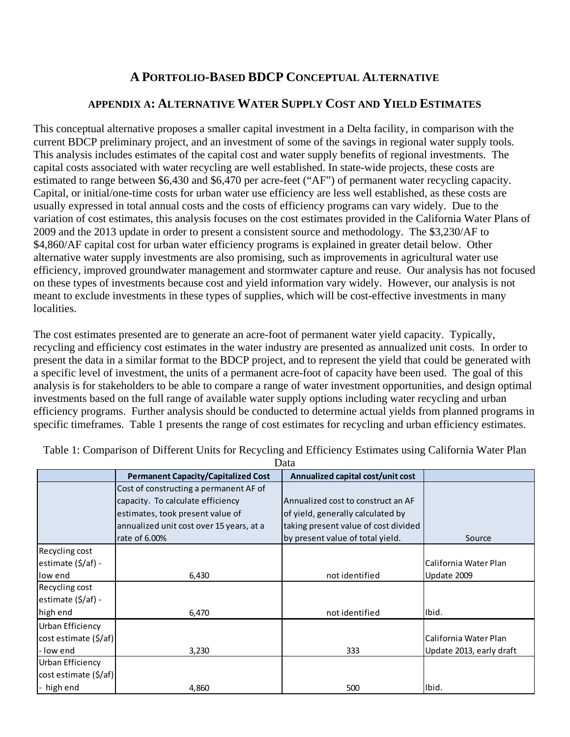## **A PORTFOLIO-BASED BDCP CONCEPTUAL ALTERNATIVE**

## **APPENDIX A: ALTERNATIVE WATER SUPPLY COST AND YIELD ESTIMATES**

This conceptual alternative proposes a smaller capital investment in a Delta facility, in comparison with the current BDCP preliminary project, and an investment of some of the savings in regional water supply tools. This analysis includes estimates of the capital cost and water supply benefits of regional investments. The capital costs associated with water recycling are well established. In state-wide projects, these costs are estimated to range between \$6,430 and \$6,470 per acre-feet ("AF") of permanent water recycling capacity. Capital, or initial/one-time costs for urban water use efficiency are less well established, as these costs are usually expressed in total annual costs and the costs of efficiency programs can vary widely. Due to the variation of cost estimates, this analysis focuses on the cost estimates provided in the California Water Plans of 2009 and the 2013 update in order to present a consistent source and methodology. The \$3,230/AF to \$4,860/AF capital cost for urban water efficiency programs is explained in greater detail below. Other alternative water supply investments are also promising, such as improvements in agricultural water use efficiency, improved groundwater management and stormwater capture and reuse. Our analysis has not focused on these types of investments because cost and yield information vary widely. However, our analysis is not meant to exclude investments in these types of supplies, which will be cost-effective investments in many localities.

The cost estimates presented are to generate an acre-foot of permanent water yield capacity. Typically, recycling and efficiency cost estimates in the water industry are presented as annualized unit costs. In order to present the data in a similar format to the BDCP project, and to represent the yield that could be generated with a specific level of investment, the units of a permanent acre-foot of capacity have been used. The goal of this analysis is for stakeholders to be able to compare a range of water investment opportunities, and design optimal investments based on the full range of available water supply options including water recycling and urban efficiency programs. Further analysis should be conducted to determine actual yields from planned programs in specific timeframes. Table 1 presents the range of cost estimates for recycling and urban efficiency estimates.

| Data                    |                                            |                                      |                          |  |  |
|-------------------------|--------------------------------------------|--------------------------------------|--------------------------|--|--|
|                         | <b>Permanent Capacity/Capitalized Cost</b> | Annualized capital cost/unit cost    |                          |  |  |
|                         | Cost of constructing a permanent AF of     |                                      |                          |  |  |
|                         | capacity. To calculate efficiency          | Annualized cost to construct an AF   |                          |  |  |
|                         | estimates, took present value of           | of yield, generally calculated by    |                          |  |  |
|                         | annualized unit cost over 15 years, at a   | taking present value of cost divided |                          |  |  |
|                         | rate of 6.00%                              | by present value of total yield.     | Source                   |  |  |
| Recycling cost          |                                            |                                      |                          |  |  |
| estimate (\$/af) -      |                                            |                                      | California Water Plan    |  |  |
| low end                 | 6,430                                      | not identified                       | Update 2009              |  |  |
| Recycling cost          |                                            |                                      |                          |  |  |
| estimate (\$/af) -      |                                            |                                      |                          |  |  |
| high end                | 6,470                                      | not identified                       | Ibid.                    |  |  |
| <b>Urban Efficiency</b> |                                            |                                      |                          |  |  |
| cost estimate (\$/af)   |                                            |                                      | California Water Plan    |  |  |
| - low end               | 3,230                                      | 333                                  | Update 2013, early draft |  |  |
| Urban Efficiency        |                                            |                                      |                          |  |  |
| cost estimate (\$/af)   |                                            |                                      |                          |  |  |
| - high end              | 4,860                                      | 500                                  | Ibid.                    |  |  |

Table 1: Comparison of Different Units for Recycling and Efficiency Estimates using California Water Plan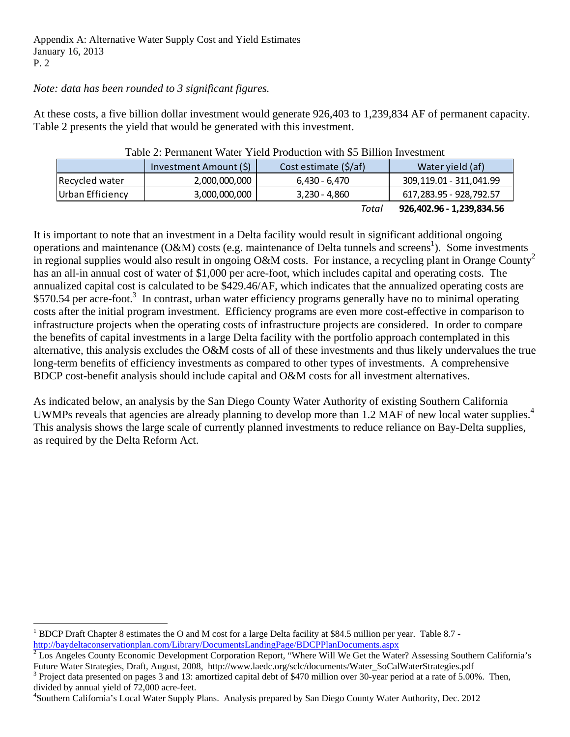#### *Note: data has been rounded to 3 significant figures.*

At these costs, a five billion dollar investment would generate 926,403 to 1,239,834 AF of permanent capacity. Table 2 presents the yield that would be generated with this investment.

| Table 2. I childheilt Watch Tield I founction with 30 Diffion investment |                        |                       |                         |  |  |
|--------------------------------------------------------------------------|------------------------|-----------------------|-------------------------|--|--|
|                                                                          | Investment Amount (\$) | Cost estimate (\$/af) | Water yield (af)        |  |  |
| Recycled water                                                           | 2,000,000,000          | 6,430 - 6,470         | 309,119.01 - 311,041.99 |  |  |
| Urban Efficiency                                                         | 3,000,000,000          | $3,230 - 4,860$       | 617,283.95 - 928,792.57 |  |  |
|                                                                          |                        |                       |                         |  |  |

Table 2: Permanent Water Yield Production with \$5 Billion Investment

*Total* **926,402.96 ‐ 1,239,834.56**

It is important to note that an investment in a Delta facility would result in significant additional ongoing operations and maintenance  $(O&M)$  costs (e.g. maintenance of Delta tunnels and screens<sup>1</sup>). Some investments in regional supplies would also result in ongoing O&M costs. For instance, a recycling plant in Orange County<sup>2</sup> has an all-in annual cost of water of \$1,000 per acre-foot, which includes capital and operating costs. The annualized capital cost is calculated to be \$429.46/AF, which indicates that the annualized operating costs are \$570.54 per acre-foot.<sup>3</sup> In contrast, urban water efficiency programs generally have no to minimal operating costs after the initial program investment. Efficiency programs are even more cost-effective in comparison to infrastructure projects when the operating costs of infrastructure projects are considered. In order to compare the benefits of capital investments in a large Delta facility with the portfolio approach contemplated in this alternative, this analysis excludes the O&M costs of all of these investments and thus likely undervalues the true long-term benefits of efficiency investments as compared to other types of investments. A comprehensive BDCP cost-benefit analysis should include capital and O&M costs for all investment alternatives.

As indicated below, an analysis by the San Diego County Water Authority of existing Southern California UWMPs reveals that agencies are already planning to develop more than 1.2 MAF of new local water supplies.<sup>4</sup> This analysis shows the large scale of currently planned investments to reduce reliance on Bay-Delta supplies, as required by the Delta Reform Act.

 $\frac{1}{2}$  Los Angeles County Economic Development Corporation Report, "Where Will We Get the Water? Assessing Southern California's Future Water Strategies, Draft, August, 2008, http://www.laedc.org/sclc/documents/Water\_SoCalWaterStrategies.pdf

 Project data presented on pages 3 and 13: amortized capital debt of \$470 million over 30-year period at a rate of 5.00%. Then, divided by annual yield of 72,000 acre-feet.

4 Southern California's Local Water Supply Plans. Analysis prepared by San Diego County Water Authority, Dec. 2012

<sup>&</sup>lt;sup>1</sup> BDCP Draft Chapter 8 estimates the O and M cost for a large Delta facility at \$84.5 million per year. Table 8.7 http://baydeltaconservationplan.com/Library/DocumentsLandingPage/BDCPPlanDocuments.aspx 2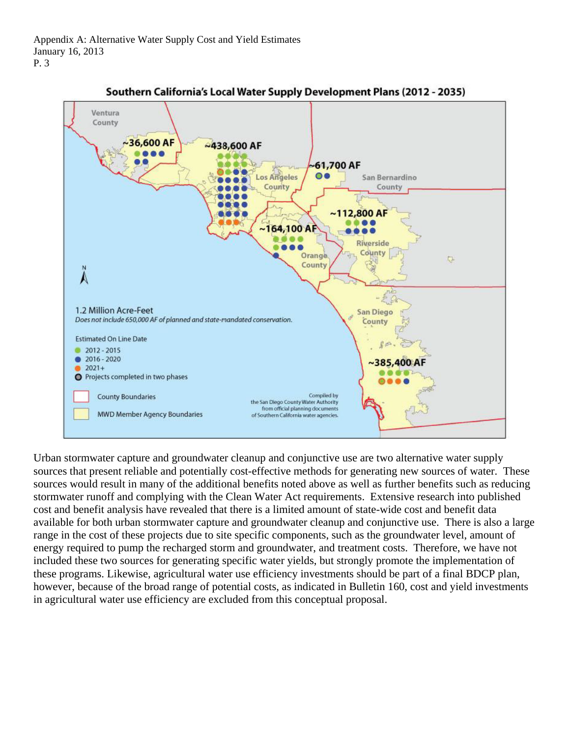

Southern California's Local Water Supply Development Plans (2012 - 2035)

Urban stormwater capture and groundwater cleanup and conjunctive use are two alternative water supply sources that present reliable and potentially cost-effective methods for generating new sources of water. These sources would result in many of the additional benefits noted above as well as further benefits such as reducing stormwater runoff and complying with the Clean Water Act requirements. Extensive research into published cost and benefit analysis have revealed that there is a limited amount of state-wide cost and benefit data available for both urban stormwater capture and groundwater cleanup and conjunctive use. There is also a large range in the cost of these projects due to site specific components, such as the groundwater level, amount of energy required to pump the recharged storm and groundwater, and treatment costs. Therefore, we have not included these two sources for generating specific water yields, but strongly promote the implementation of these programs. Likewise, agricultural water use efficiency investments should be part of a final BDCP plan, however, because of the broad range of potential costs, as indicated in Bulletin 160, cost and yield investments in agricultural water use efficiency are excluded from this conceptual proposal.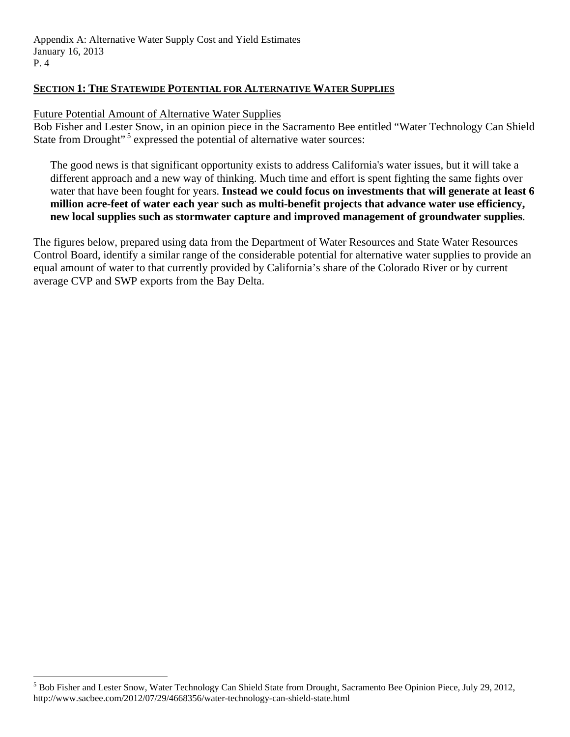#### **SECTION 1: THE STATEWIDE POTENTIAL FOR ALTERNATIVE WATER SUPPLIES**

#### Future Potential Amount of Alternative Water Supplies

Bob Fisher and Lester Snow, in an opinion piece in the Sacramento Bee entitled "Water Technology Can Shield State from Drought"<sup>5</sup> expressed the potential of alternative water sources:

The good news is that significant opportunity exists to address California's water issues, but it will take a different approach and a new way of thinking. Much time and effort is spent fighting the same fights over water that have been fought for years. **Instead we could focus on investments that will generate at least 6 million acre-feet of water each year such as multi-benefit projects that advance water use efficiency, new local supplies such as stormwater capture and improved management of groundwater supplies**.

The figures below, prepared using data from the Department of Water Resources and State Water Resources Control Board, identify a similar range of the considerable potential for alternative water supplies to provide an equal amount of water to that currently provided by California's share of the Colorado River or by current average CVP and SWP exports from the Bay Delta.

<sup>&</sup>lt;sup>5</sup> Bob Fisher and Lester Snow, Water Technology Can Shield State from Drought, Sacramento Bee Opinion Piece, July 29, 2012, http://www.sacbee.com/2012/07/29/4668356/water-technology-can-shield-state.html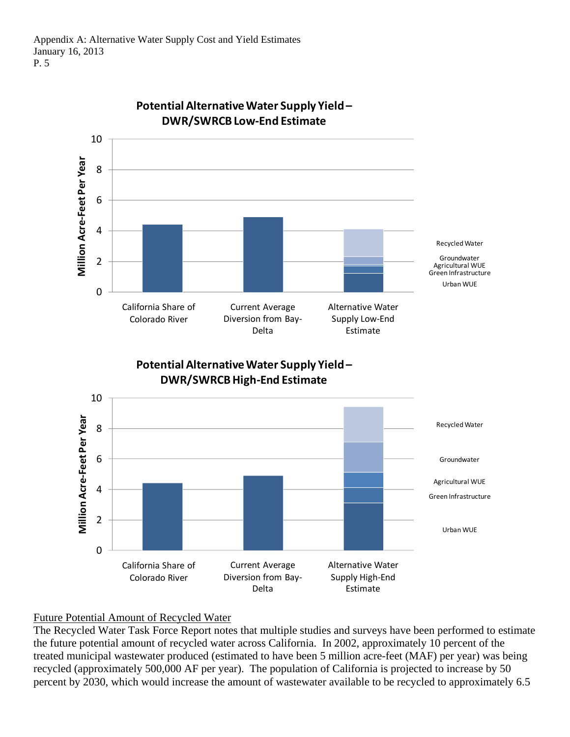

# **Potential AlternativeWater Supply Yield–**

## Future Potential Amount of Recycled Water

The Recycled Water Task Force Report notes that multiple studies and surveys have been performed to estimate the future potential amount of recycled water across California. In 2002, approximately 10 percent of the treated municipal wastewater produced (estimated to have been 5 million acre-feet (MAF) per year) was being recycled (approximately 500,000 AF per year). The population of California is projected to increase by 50 percent by 2030, which would increase the amount of wastewater available to be recycled to approximately 6.5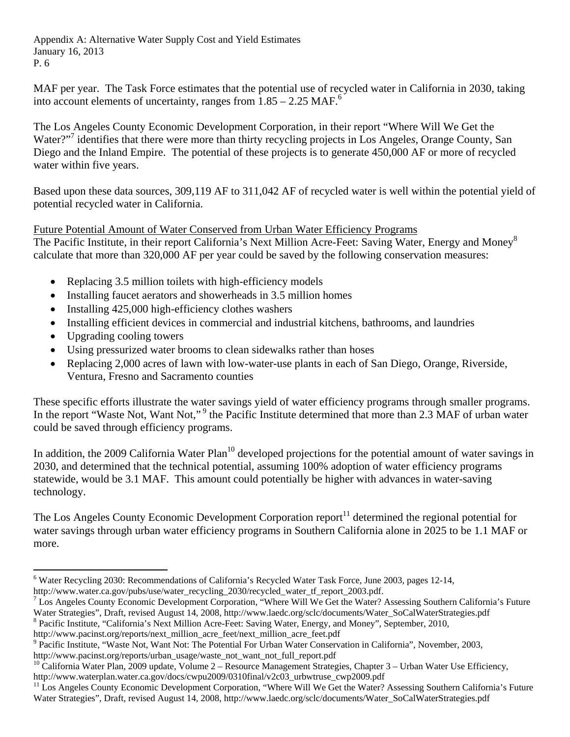MAF per year. The Task Force estimates that the potential use of recycled water in California in 2030, taking into account elements of uncertainty, ranges from  $1.85 - 2.25$  MAF.<sup>6</sup>

The Los Angeles County Economic Development Corporation, in their report "Where Will We Get the Water?"7 identifies that there were more than thirty recycling projects in Los Angele*s,* Orange County, San Diego and the Inland Empire. The potential of these projects is to generate 450,000 AF or more of recycled water within five years.

Based upon these data sources, 309,119 AF to 311,042 AF of recycled water is well within the potential yield of potential recycled water in California.

#### Future Potential Amount of Water Conserved from Urban Water Efficiency Programs

The Pacific Institute, in their report California's Next Million Acre-Feet: Saving Water, Energy and Money<sup>8</sup> calculate that more than 320,000 AF per year could be saved by the following conservation measures:

- Replacing 3.5 million toilets with high-efficiency models
- Installing faucet aerators and showerheads in 3.5 million homes
- $\bullet$  Installing 425,000 high-efficiency clothes washers
- Installing efficient devices in commercial and industrial kitchens, bathrooms, and laundries
- Upgrading cooling towers

- Using pressurized water brooms to clean sidewalks rather than hoses
- Replacing 2,000 acres of lawn with low-water-use plants in each of San Diego, Orange, Riverside, Ventura, Fresno and Sacramento counties

These specific efforts illustrate the water savings yield of water efficiency programs through smaller programs. In the report "Waste Not, Want Not,"<sup>9</sup> the Pacific Institute determined that more than 2.3 MAF of urban water could be saved through efficiency programs.

In addition, the 2009 California Water Plan<sup>10</sup> developed projections for the potential amount of water savings in 2030, and determined that the technical potential, assuming 100% adoption of water efficiency programs statewide, would be 3.1 MAF. This amount could potentially be higher with advances in water-saving technology.

The Los Angeles County Economic Development Corporation report<sup>11</sup> determined the regional potential for water savings through urban water efficiency programs in Southern California alone in 2025 to be 1.1 MAF or more.

<sup>8</sup> Pacific Institute, "California's Next Million Acre-Feet: Saving Water, Energy, and Money", September, 2010,

http://www.pacinst.org/reports/urban\_usage/waste\_not\_want\_not\_full\_report.pdf

<sup>&</sup>lt;sup>6</sup> Water Recycling 2030: Recommendations of California's Recycled Water Task Force, June 2003, pages 12-14, http://www.water.ca.gov/pubs/use/water\_recycling\_2030/recycled\_water\_tf\_report\_2003.pdf.

 $^7$  Los Angeles County Economic Development Corporation, "Where Will We Get the Water? Assessing Southern California's Future Water Strategies", Draft, revised August 14, 2008, http://www.laedc.org/sclc/documents/Water\_SoCalWaterStrategies.pdf 8

http://www.pacinst.org/reports/next\_million\_acre\_feet/next\_million\_acre\_feet.pdf

<sup>&</sup>lt;sup>9</sup> Pacific Institute, "Waste Not, Want Not: The Potential For Urban Water Conservation in California", November, 2003,

 $^{10}$  California Water Plan, 2009 update, Volume 2 – Resource Management Strategies, Chapter 3 – Urban Water Use Efficiency, http://www.waterplan.water.ca.gov/docs/cwpu2009/0310final/v2c03\_urbwtruse\_cwp2009.pdf<br><sup>11</sup> Los Angeles County Economic Development Corporation, "Where Will We Get the Water? Assessing Southern California's Future

Water Strategies", Draft, revised August 14, 2008, http://www.laedc.org/sclc/documents/Water\_SoCalWaterStrategies.pdf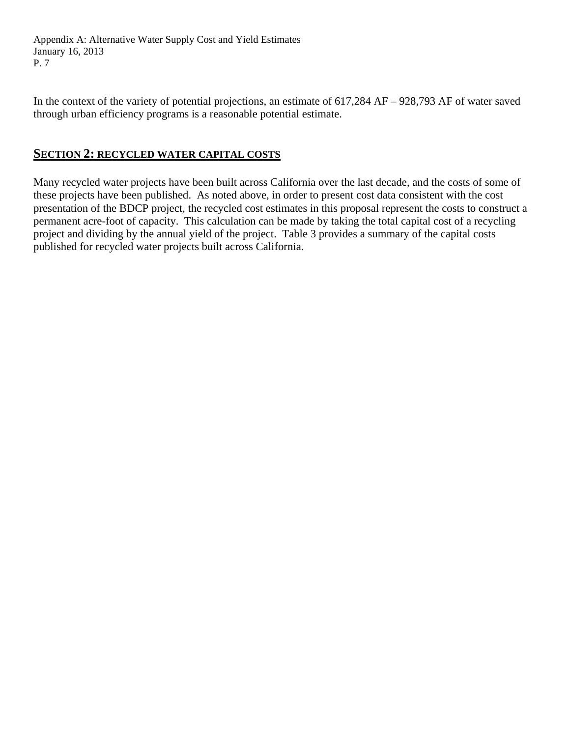In the context of the variety of potential projections, an estimate of 617,284 AF – 928,793 AF of water saved through urban efficiency programs is a reasonable potential estimate.

## **SECTION 2: RECYCLED WATER CAPITAL COSTS**

Many recycled water projects have been built across California over the last decade, and the costs of some of these projects have been published. As noted above, in order to present cost data consistent with the cost presentation of the BDCP project, the recycled cost estimates in this proposal represent the costs to construct a permanent acre-foot of capacity. This calculation can be made by taking the total capital cost of a recycling project and dividing by the annual yield of the project. Table 3 provides a summary of the capital costs published for recycled water projects built across California.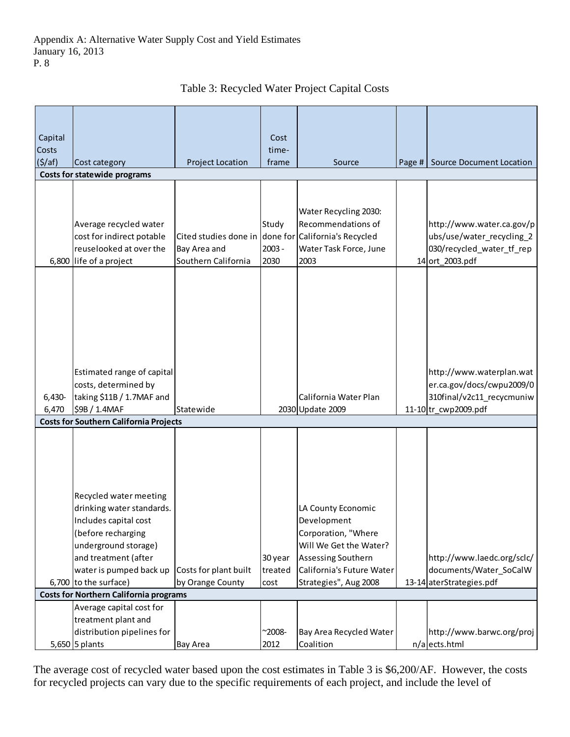| Capital<br><b>Costs</b><br>$($ \$/af)         | Cost category                                                                                                                                                                                          | <b>Project Location</b>                                      | Cost<br>time-<br>frame     | Source                                                                                                                                                         |  | Page # Source Document Location                                                                           |
|-----------------------------------------------|--------------------------------------------------------------------------------------------------------------------------------------------------------------------------------------------------------|--------------------------------------------------------------|----------------------------|----------------------------------------------------------------------------------------------------------------------------------------------------------------|--|-----------------------------------------------------------------------------------------------------------|
|                                               | <b>Costs for statewide programs</b>                                                                                                                                                                    |                                                              |                            |                                                                                                                                                                |  |                                                                                                           |
|                                               | Average recycled water<br>cost for indirect potable<br>reuselooked at over the<br>6,800 life of a project                                                                                              | Cited studies done in<br>Bay Area and<br>Southern California | Study<br>$2003 -$<br>2030  | Water Recycling 2030:<br>Recommendations of<br>done for California's Recycled<br>Water Task Force, June<br>2003                                                |  | http://www.water.ca.gov/p<br>ubs/use/water_recycling_2<br>030/recycled_water_tf_rep<br>14 ort_2003.pdf    |
| 6,430-<br>6,470                               | Estimated range of capital<br>costs, determined by<br>taking \$11B / 1.7MAF and<br>\$9B / 1.4MAF                                                                                                       | Statewide                                                    |                            | California Water Plan<br>2030 Update 2009                                                                                                                      |  | http://www.waterplan.wat<br>er.ca.gov/docs/cwpu2009/0<br>310final/v2c11_recycmuniw<br>11-10tr_cwp2009.pdf |
|                                               | <b>Costs for Southern California Projects</b>                                                                                                                                                          |                                                              |                            |                                                                                                                                                                |  |                                                                                                           |
|                                               | Recycled water meeting<br>drinking water standards.<br>Includes capital cost<br>(before recharging<br>underground storage)<br>and treatment (after<br>water is pumped back up<br>6,700 to the surface) | Costs for plant built<br>by Orange County                    | 30 year<br>treated<br>cost | LA County Economic<br>Development<br>Corporation, "Where<br>Will We Get the Water?<br>Assessing Southern<br>California's Future Water<br>Strategies", Aug 2008 |  | http://www.laedc.org/sclc/<br>documents/Water_SoCalW<br>13-14 aterStrategies.pdf                          |
| <b>Costs for Northern California programs</b> |                                                                                                                                                                                                        |                                                              |                            |                                                                                                                                                                |  |                                                                                                           |
|                                               | Average capital cost for<br>treatment plant and<br>distribution pipelines for<br>5,650 5 plants                                                                                                        | <b>Bay Area</b>                                              | $^{\sim}2008 -$<br>2012    | Bay Area Recycled Water<br>Coalition                                                                                                                           |  | http://www.barwc.org/proj<br>n/a ects.html                                                                |

Table 3: Recycled Water Project Capital Costs

The average cost of recycled water based upon the cost estimates in Table 3 is \$6,200/AF. However, the costs for recycled projects can vary due to the specific requirements of each project, and include the level of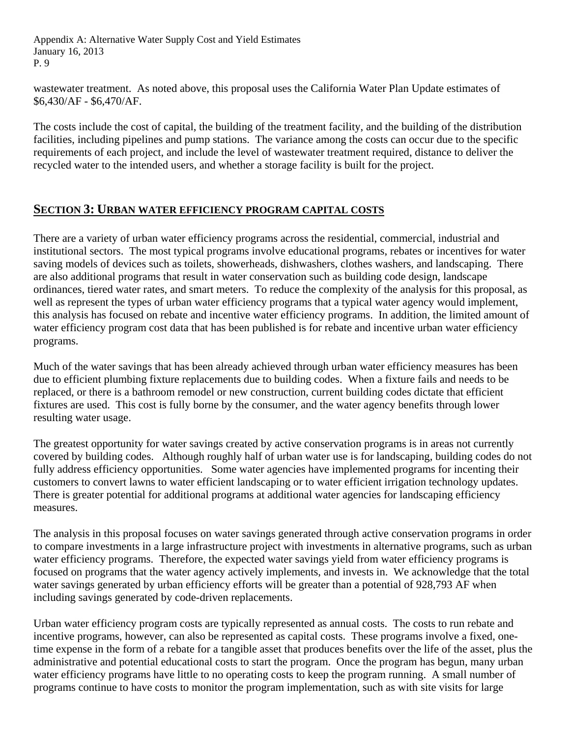wastewater treatment. As noted above, this proposal uses the California Water Plan Update estimates of \$6,430/AF - \$6,470/AF.

The costs include the cost of capital, the building of the treatment facility, and the building of the distribution facilities, including pipelines and pump stations. The variance among the costs can occur due to the specific requirements of each project, and include the level of wastewater treatment required, distance to deliver the recycled water to the intended users, and whether a storage facility is built for the project.

## **SECTION 3: URBAN WATER EFFICIENCY PROGRAM CAPITAL COSTS**

There are a variety of urban water efficiency programs across the residential, commercial, industrial and institutional sectors. The most typical programs involve educational programs, rebates or incentives for water saving models of devices such as toilets, showerheads, dishwashers, clothes washers, and landscaping. There are also additional programs that result in water conservation such as building code design, landscape ordinances, tiered water rates, and smart meters. To reduce the complexity of the analysis for this proposal, as well as represent the types of urban water efficiency programs that a typical water agency would implement, this analysis has focused on rebate and incentive water efficiency programs. In addition, the limited amount of water efficiency program cost data that has been published is for rebate and incentive urban water efficiency programs.

Much of the water savings that has been already achieved through urban water efficiency measures has been due to efficient plumbing fixture replacements due to building codes. When a fixture fails and needs to be replaced, or there is a bathroom remodel or new construction, current building codes dictate that efficient fixtures are used. This cost is fully borne by the consumer, and the water agency benefits through lower resulting water usage.

The greatest opportunity for water savings created by active conservation programs is in areas not currently covered by building codes. Although roughly half of urban water use is for landscaping, building codes do not fully address efficiency opportunities. Some water agencies have implemented programs for incenting their customers to convert lawns to water efficient landscaping or to water efficient irrigation technology updates. There is greater potential for additional programs at additional water agencies for landscaping efficiency measures.

The analysis in this proposal focuses on water savings generated through active conservation programs in order to compare investments in a large infrastructure project with investments in alternative programs, such as urban water efficiency programs. Therefore, the expected water savings yield from water efficiency programs is focused on programs that the water agency actively implements, and invests in. We acknowledge that the total water savings generated by urban efficiency efforts will be greater than a potential of 928,793 AF when including savings generated by code-driven replacements.

Urban water efficiency program costs are typically represented as annual costs. The costs to run rebate and incentive programs, however, can also be represented as capital costs. These programs involve a fixed, onetime expense in the form of a rebate for a tangible asset that produces benefits over the life of the asset, plus the administrative and potential educational costs to start the program. Once the program has begun, many urban water efficiency programs have little to no operating costs to keep the program running. A small number of programs continue to have costs to monitor the program implementation, such as with site visits for large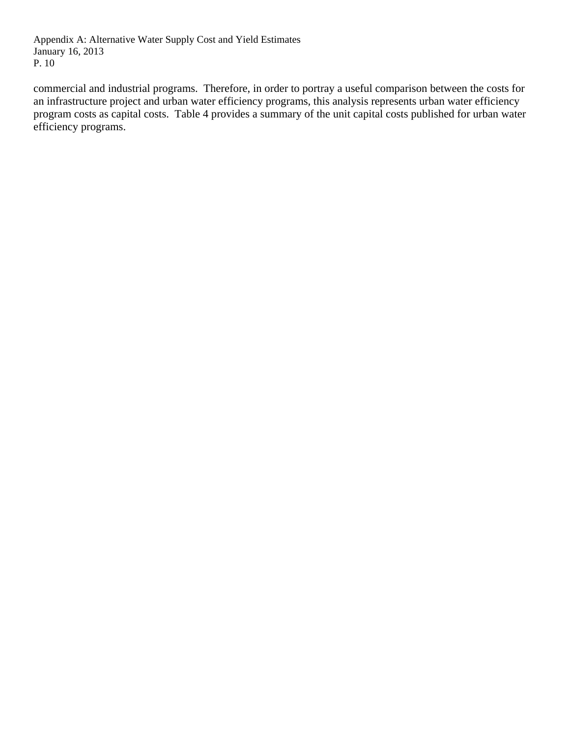commercial and industrial programs. Therefore, in order to portray a useful comparison between the costs for an infrastructure project and urban water efficiency programs, this analysis represents urban water efficiency program costs as capital costs. Table 4 provides a summary of the unit capital costs published for urban water efficiency programs.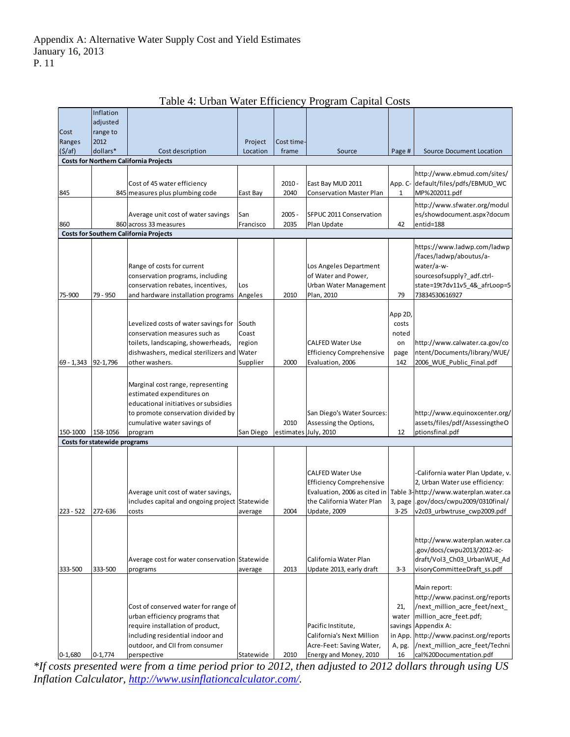|                     | Inflation                    |                                                                         |           |            |                                                    |          |                                                           |
|---------------------|------------------------------|-------------------------------------------------------------------------|-----------|------------|----------------------------------------------------|----------|-----------------------------------------------------------|
|                     | adjusted                     |                                                                         |           |            |                                                    |          |                                                           |
| Cost                | range to                     |                                                                         |           |            |                                                    |          |                                                           |
| Ranges              | 2012                         |                                                                         | Project   | Cost time- |                                                    |          |                                                           |
| (5/af)              | dollars*                     | Cost description<br><b>Costs for Northern California Projects</b>       | Location  | frame      | Source                                             | Page #   | <b>Source Document Location</b>                           |
|                     |                              |                                                                         |           |            |                                                    |          |                                                           |
|                     |                              |                                                                         |           |            |                                                    |          | http://www.ebmud.com/sites/                               |
|                     |                              | Cost of 45 water efficiency                                             |           | $2010 -$   | East Bay MUD 2011                                  |          | App. C- default/files/pdfs/EBMUD_WC                       |
| 845                 |                              | 845 measures plus plumbing code                                         | East Bay  | 2040       | <b>Conservation Master Plan</b>                    | 1        | MP%202011.pdf                                             |
|                     |                              |                                                                         |           |            |                                                    |          | http://www.sfwater.org/modul                              |
|                     |                              | Average unit cost of water savings                                      | San       | $2005 -$   | SFPUC 2011 Conservation                            |          | es/showdocument.aspx?docum                                |
| 860                 |                              | 860 across 33 measures<br><b>Costs for Southern California Projects</b> | Francisco | 2035       | Plan Update                                        | 42       | entid=188                                                 |
|                     |                              |                                                                         |           |            |                                                    |          |                                                           |
|                     |                              |                                                                         |           |            |                                                    |          | https://www.ladwp.com/ladwp                               |
|                     |                              |                                                                         |           |            |                                                    |          | /faces/ladwp/aboutus/a-                                   |
|                     |                              | Range of costs for current                                              |           |            | Los Angeles Department                             |          | water/a-w-                                                |
|                     |                              | conservation programs, including                                        |           |            | of Water and Power,                                |          | sourcesofsupply?_adf.ctrl-                                |
|                     |                              | conservation rebates, incentives,                                       | Los       |            | Urban Water Management                             |          | state=19t7dv11v5_4&_afrLoop=5                             |
| 75-900              | 79 - 950                     | and hardware installation programs                                      | Angeles   | 2010       | Plan, 2010                                         | 79       | 73834530616927                                            |
|                     |                              |                                                                         |           |            |                                                    | App 2D   |                                                           |
|                     |                              | Levelized costs of water savings for                                    | South     |            |                                                    | costs    |                                                           |
|                     |                              | conservation measures such as                                           | Coast     |            |                                                    | noted    |                                                           |
|                     |                              | toilets, landscaping, showerheads,                                      | region    |            | <b>CALFED Water Use</b>                            | on       | http://www.calwater.ca.gov/co                             |
|                     |                              | dishwashers, medical sterilizers and Water                              |           |            | <b>Efficiency Comprehensive</b>                    | page     | ntent/Documents/library/WUE/                              |
| 69 - 1,343 92-1,796 |                              | other washers.                                                          | Supplier  | 2000       | Evaluation, 2006                                   | 142      | 2006 WUE Public Final.pdf                                 |
|                     |                              |                                                                         |           |            |                                                    |          |                                                           |
|                     |                              | Marginal cost range, representing                                       |           |            |                                                    |          |                                                           |
|                     |                              | estimated expenditures on                                               |           |            |                                                    |          |                                                           |
|                     |                              | educational initiatives or subsidies                                    |           |            |                                                    |          |                                                           |
|                     |                              | to promote conservation divided by                                      |           |            | San Diego's Water Sources:                         |          | http://www.equinoxcenter.org/                             |
|                     |                              | cumulative water savings of                                             |           | 2010       | Assessing the Options,                             |          | assets/files/pdf/AssessingtheO                            |
| 150-1000            | 158-1056                     | program                                                                 | San Diego |            | estimates July, 2010                               | 12       | ptionsfinal.pdf                                           |
|                     | Costs for statewide programs |                                                                         |           |            |                                                    |          |                                                           |
|                     |                              |                                                                         |           |            |                                                    |          |                                                           |
|                     |                              |                                                                         |           |            |                                                    |          |                                                           |
|                     |                              |                                                                         |           |            | <b>CALFED Water Use</b>                            |          | California water Plan Update, v.                          |
|                     |                              |                                                                         |           |            | <b>Efficiency Comprehensive</b>                    |          | 2, Urban Water use efficiency:                            |
|                     |                              | Average unit cost of water savings,                                     |           |            | Evaluation, 2006 as cited in                       |          | Table 3-http://www.waterplan.water.ca                     |
|                     |                              | includes capital and ongoing project Statewide                          |           |            | the California Water Plan                          | 3, page  | .gov/docs/cwpu2009/0310final/                             |
| 223 - 522           | 272-636                      | costs                                                                   | average   | 2004       | Update, 2009                                       | $3 - 25$ | v2c03_urbwtruse_cwp2009.pdf                               |
|                     |                              |                                                                         |           |            |                                                    |          |                                                           |
|                     |                              |                                                                         |           |            |                                                    |          |                                                           |
|                     |                              |                                                                         |           |            |                                                    |          | http://www.waterplan.water.ca                             |
|                     |                              |                                                                         |           |            |                                                    |          | .gov/docs/cwpu2013/2012-ac-                               |
|                     |                              | Average cost for water conservation Statewide                           |           |            | California Water Plan                              |          | draft/Vol3_Ch03_UrbanWUE_Ad                               |
| 333-500             | 333-500                      | programs                                                                | average   | 2013       | Update 2013, early draft                           | $3 - 3$  | visoryCommitteeDraft_ss.pdf                               |
|                     |                              |                                                                         |           |            |                                                    |          |                                                           |
|                     |                              |                                                                         |           |            |                                                    |          | Main report:                                              |
|                     |                              |                                                                         |           |            |                                                    |          | http://www.pacinst.org/reports                            |
|                     |                              | Cost of conserved water for range of                                    |           |            |                                                    | 21,      | /next million acre feet/next                              |
|                     |                              | urban efficiency programs that                                          |           |            |                                                    | water    | million acre feet.pdf;                                    |
|                     |                              | require installation of product,                                        |           |            | Pacific Institute,                                 |          | savings Appendix A:                                       |
|                     |                              | including residential indoor and<br>outdoor, and CII from consumer      |           |            | California's Next Million                          |          | in App. http://www.pacinst.org/reports                    |
|                     |                              |                                                                         |           |            | Acre-Feet: Saving Water,<br>Energy and Money, 2010 | A, pg.   | /next_million_acre_feet/Techni<br>cal%20Documentation.pdf |
| $0 - 1,680$         | $0 - 1,774$                  | perspective                                                             | Statewide | 2010       |                                                    | 16       |                                                           |

Table 4: Urban Water Efficiency Program Capital Costs

*\*If costs presented were from a time period prior to 2012, then adjusted to 2012 dollars through using US Inflation Calculator, http://www.usinflationcalculator.com/.*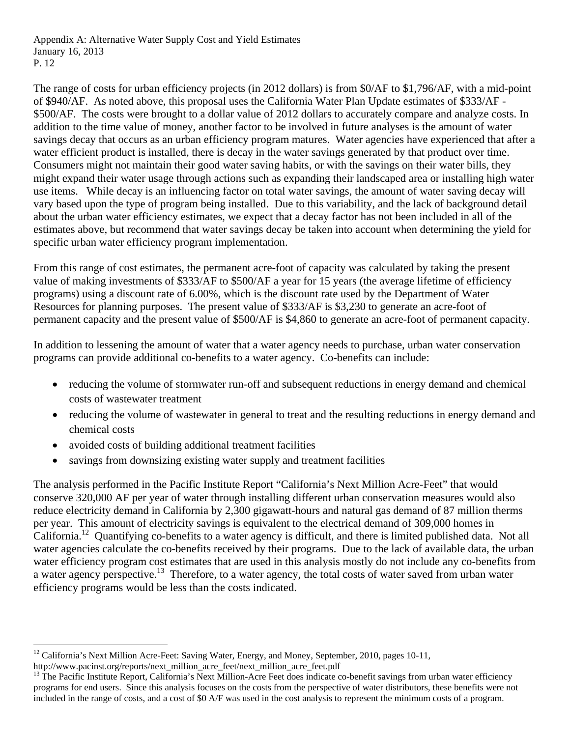The range of costs for urban efficiency projects (in 2012 dollars) is from \$0/AF to \$1,796/AF, with a mid-point of \$940/AF. As noted above, this proposal uses the California Water Plan Update estimates of \$333/AF - \$500/AF. The costs were brought to a dollar value of 2012 dollars to accurately compare and analyze costs. In addition to the time value of money, another factor to be involved in future analyses is the amount of water savings decay that occurs as an urban efficiency program matures. Water agencies have experienced that after a water efficient product is installed, there is decay in the water savings generated by that product over time. Consumers might not maintain their good water saving habits, or with the savings on their water bills, they might expand their water usage through actions such as expanding their landscaped area or installing high water use items. While decay is an influencing factor on total water savings, the amount of water saving decay will vary based upon the type of program being installed. Due to this variability, and the lack of background detail about the urban water efficiency estimates, we expect that a decay factor has not been included in all of the estimates above, but recommend that water savings decay be taken into account when determining the yield for specific urban water efficiency program implementation.

From this range of cost estimates, the permanent acre-foot of capacity was calculated by taking the present value of making investments of \$333/AF to \$500/AF a year for 15 years (the average lifetime of efficiency programs) using a discount rate of 6.00%, which is the discount rate used by the Department of Water Resources for planning purposes. The present value of \$333/AF is \$3,230 to generate an acre-foot of permanent capacity and the present value of \$500/AF is \$4,860 to generate an acre-foot of permanent capacity.

In addition to lessening the amount of water that a water agency needs to purchase, urban water conservation programs can provide additional co-benefits to a water agency. Co-benefits can include:

- reducing the volume of stormwater run-off and subsequent reductions in energy demand and chemical costs of wastewater treatment
- reducing the volume of wastewater in general to treat and the resulting reductions in energy demand and chemical costs
- avoided costs of building additional treatment facilities

savings from downsizing existing water supply and treatment facilities

The analysis performed in the Pacific Institute Report "California's Next Million Acre-Feet" that would conserve 320,000 AF per year of water through installing different urban conservation measures would also reduce electricity demand in California by 2,300 gigawatt-hours and natural gas demand of 87 million therms per year. This amount of electricity savings is equivalent to the electrical demand of 309,000 homes in California.<sup>12</sup> Quantifying co-benefits to a water agency is difficult, and there is limited published data. Not all water agencies calculate the co-benefits received by their programs. Due to the lack of available data, the urban water efficiency program cost estimates that are used in this analysis mostly do not include any co-benefits from a water agency perspective.<sup>13</sup> Therefore, to a water agency, the total costs of water saved from urban water efficiency programs would be less than the costs indicated.

<sup>&</sup>lt;sup>12</sup> California's Next Million Acre-Feet: Saving Water, Energy, and Money, September, 2010, pages 10-11, http://www.pacinst.org/reports/next\_million\_acre\_feet/next\_million\_acre\_feet.pdf

 $13$  The Pacific Institute Report, California's Next Million-Acre Feet does indicate co-benefit savings from urban water efficiency programs for end users. Since this analysis focuses on the costs from the perspective of water distributors, these benefits were not included in the range of costs, and a cost of \$0 A/F was used in the cost analysis to represent the minimum costs of a program.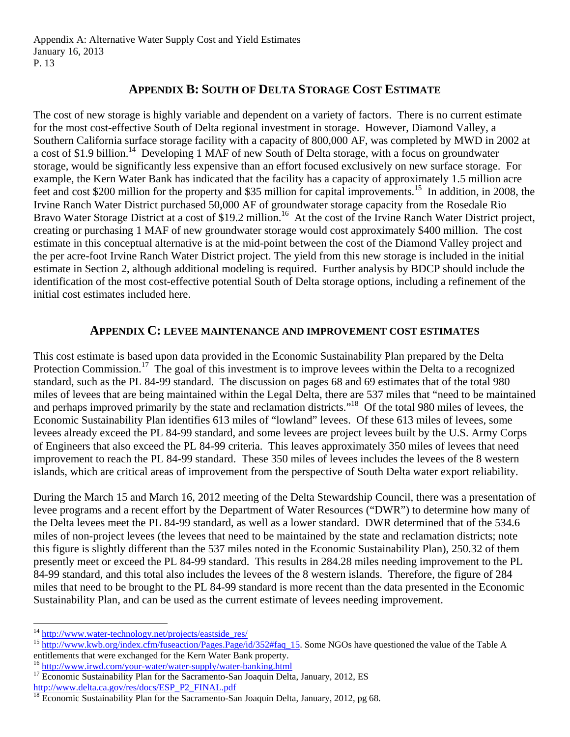## **APPENDIX B: SOUTH OF DELTA STORAGE COST ESTIMATE**

The cost of new storage is highly variable and dependent on a variety of factors. There is no current estimate for the most cost-effective South of Delta regional investment in storage. However, Diamond Valley, a Southern California surface storage facility with a capacity of 800,000 AF, was completed by MWD in 2002 at a cost of \$1.9 billion.<sup>14</sup> Developing 1 MAF of new South of Delta storage, with a focus on groundwater storage, would be significantly less expensive than an effort focused exclusively on new surface storage. For example, the Kern Water Bank has indicated that the facility has a capacity of approximately 1.5 million acre feet and cost \$200 million for the property and \$35 million for capital improvements.<sup>15</sup> In addition, in 2008, the Irvine Ranch Water District purchased 50,000 AF of groundwater storage capacity from the Rosedale Rio Bravo Water Storage District at a cost of \$19.2 million.<sup>16</sup> At the cost of the Irvine Ranch Water District project, creating or purchasing 1 MAF of new groundwater storage would cost approximately \$400 million. The cost estimate in this conceptual alternative is at the mid-point between the cost of the Diamond Valley project and the per acre-foot Irvine Ranch Water District project. The yield from this new storage is included in the initial estimate in Section 2, although additional modeling is required. Further analysis by BDCP should include the identification of the most cost-effective potential South of Delta storage options, including a refinement of the initial cost estimates included here.

### **APPENDIX C: LEVEE MAINTENANCE AND IMPROVEMENT COST ESTIMATES**

This cost estimate is based upon data provided in the Economic Sustainability Plan prepared by the Delta Protection Commission.<sup>17</sup> The goal of this investment is to improve levees within the Delta to a recognized standard, such as the PL 84-99 standard. The discussion on pages 68 and 69 estimates that of the total 980 miles of levees that are being maintained within the Legal Delta, there are 537 miles that "need to be maintained and perhaps improved primarily by the state and reclamation districts."18 Of the total 980 miles of levees, the Economic Sustainability Plan identifies 613 miles of "lowland" levees. Of these 613 miles of levees, some levees already exceed the PL 84-99 standard, and some levees are project levees built by the U.S. Army Corps of Engineers that also exceed the PL 84-99 criteria. This leaves approximately 350 miles of levees that need improvement to reach the PL 84-99 standard. These 350 miles of levees includes the levees of the 8 western islands, which are critical areas of improvement from the perspective of South Delta water export reliability.

During the March 15 and March 16, 2012 meeting of the Delta Stewardship Council, there was a presentation of levee programs and a recent effort by the Department of Water Resources ("DWR") to determine how many of the Delta levees meet the PL 84-99 standard, as well as a lower standard. DWR determined that of the 534.6 miles of non-project levees (the levees that need to be maintained by the state and reclamation districts; note this figure is slightly different than the 537 miles noted in the Economic Sustainability Plan), 250.32 of them presently meet or exceed the PL 84-99 standard. This results in 284.28 miles needing improvement to the PL 84-99 standard, and this total also includes the levees of the 8 western islands. Therefore, the figure of 284 miles that need to be brought to the PL 84-99 standard is more recent than the data presented in the Economic Sustainability Plan, and can be used as the current estimate of levees needing improvement.

<sup>&</sup>lt;sup>14</sup> http://www.water-technology.net/projects/eastside\_res/<br><sup>15</sup> http://www.kwb.org/index.cfm/fuseaction/Pages.Page/id/352#faq\_15. Some NGOs have questioned the value of the Table A entitlements that were exchanged for the Kern Water Bank property.

<sup>&</sup>lt;sup>16</sup> http://www.irwd.com/your-water/water-supply/water-banking.html<br><sup>17</sup> Economic Sustainability Plan for the Sacramento-San Joaquin Delta, January, 2012, ES<br>http://www.delta.ca.gov/res/docs/ESP\_P2\_FINAL.pdf

http://www.delta.ca.gov/res/docs/ESP\_P2\_FINAL.pdf 18 Economic Sustainability Plan for the Sacramento-San Joaquin Delta, January, 2012, pg 68.